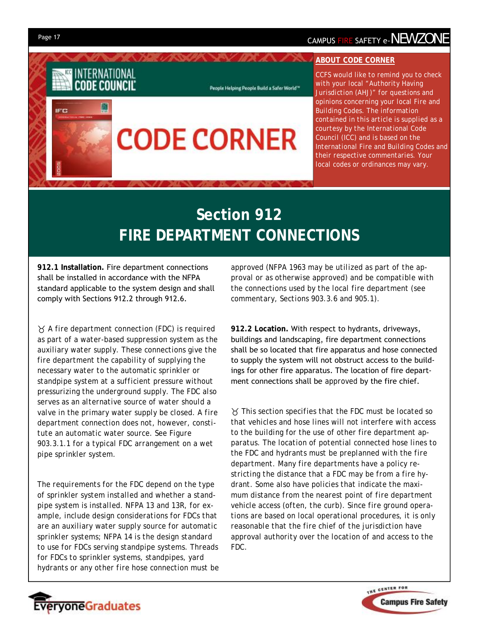**IFC** 

# Page 17 **CAMPUS FIRE SAFETY e-NEWZONE**

### **ABOUT CODE CORNER**

*CCFS would like to remind you to check with your local "Authority Having Jurisdiction (AHJ)" for questions and opinions concerning your local Fire and Building Codes. The information contained in this article is supplied as a courtesy by the International Code Council (ICC) and is based on the International Fire and Building Codes and their respective commentaries. Your local codes or ordinances may vary.* 

# **Section 912 FIRE DEPARTMENT CONNECTIONS**

**CODE CORNER** 

People Helping People Build a Safer World"\*

**912.1 Installation.** Fire department connections shall be installed in accordance with the NFPA standard applicable to the system design and shall comply with Sections 912.2 through 912.6.

INTERNATIONAL **CODE COUNCIL** 

飋

 *A fire department connection (FDC) is required as part of a water-based suppression system as the auxiliary water supply. These connections give the fire department the capability of supplying the necessary water to the automatic sprinkler or standpipe system at a sufficient pressure without pressurizing the underground supply. The FDC also serves as an alternative source of water should a valve in the primary water supply be closed. A fire department connection does not, however, constitute an automatic water source. See Figure 903.3.1.1 for a typical FDC arrangement on a wet pipe sprinkler system.* 

*The requirements for the FDC depend on the type of sprinkler system installed and whether a standpipe system is installed. NFPA 13 and 13R, for example, include design considerations for FDCs that are an auxiliary water supply source for automatic sprinkler systems; NFPA 14 is the design standard to use for FDCs serving standpipe systems. Threads for FDCs to sprinkler systems, standpipes, yard hydrants or any other fire hose connection must be*  *approved (NFPA 1963 may be utilized as part of the approval or as otherwise approved) and be compatible with the connections used by the local fire department (see commentary, Sections 903.3.6 and 905.1).* 

**912.2 Location.** With respect to hydrants, driveways, buildings and landscaping, fire department connections shall be so located that fire apparatus and hose connected to supply the system will not obstruct access to the buildings for other fire apparatus. The location of fire department connections shall be *approved* by the fire chief.

 *This section specifies that the FDC must be located so that vehicles and hose lines will not interfere with access to the building for the use of other fire department apparatus. The location of potential connected hose lines to the FDC and hydrants must be preplanned with the fire department. Many fire departments have a policy restricting the distance that a FDC may be from a fire hydrant. Some also have policies that indicate the maximum distance from the nearest point of fire department vehicle access (often, the curb). Since fire ground operations are based on local operational procedures, it is only reasonable that the fire chief of the jurisdiction have approval authority over the location of and access to the FDC.* 



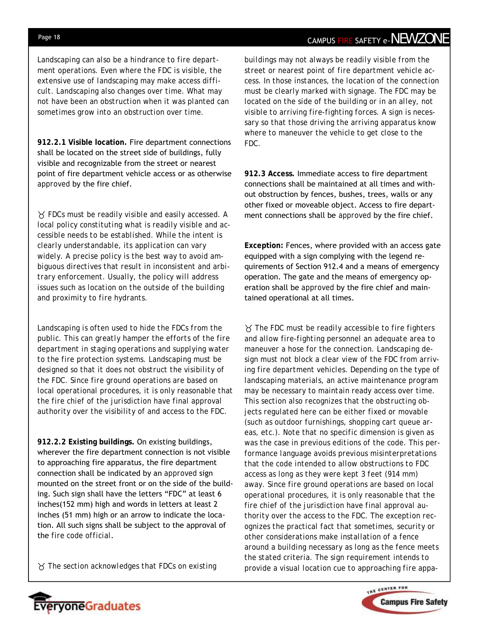*Landscaping can also be a hindrance to fire department operations. Even where the FDC is visible, the extensive use of landscaping may make access difficult. Landscaping also changes over time. What may not have been an obstruction when it was planted can sometimes grow into an obstruction over time.* 

**912.2.1 Visible location.** Fire department connections shall be located on the street side of buildings, fully visible and recognizable from the street or nearest point of fire department vehicle access or as otherwise *approved* by the fire chief.

 *FDCs must be readily visible and easily accessed. A local policy constituting what is readily visible and accessible needs to be established. While the intent is clearly understandable, its application can vary widely. A precise policy is the best way to avoid ambiguous directives that result in inconsistent and arbitrary enforcement. Usually, the policy will address issues such as location on the outside of the building and proximity to fire hydrants.* 

*Landscaping is often used to hide the FDCs from the public. This can greatly hamper the efforts of the fire department in staging operations and supplying water to the fire protection systems. Landscaping must be designed so that it does not obstruct the visibility of the FDC. Since fire ground operations are based on local operational procedures, it is only reasonable that the fire chief of the jurisdiction have final approval authority over the visibility of and access to the FDC.* 

**912.2.2 Existing buildings.** On existing buildings, wherever the fire department connection is not visible to approaching fire apparatus, the fire department connection shall be indicated by an *approved* sign mounted on the street front or on the side of the building. Such sign shall have the letters "FDC" at least 6 inches(152 mm) high and words in letters at least 2 inches (51 mm) high or an arrow to indicate the location. All such signs shall be subject to the approval of the *fire code official*.

*The section acknowledges that FDCs on existing* 

veryoneGraduates

# Page 18 **CAMPUS FIRE SAFETY e-NEWZONE**

*buildings may not always be readily visible from the street or nearest point of fire department vehicle access. In those instances, the location of the connection must be clearly marked with signage. The FDC may be located on the side of the building or in an alley, not visible to arriving fire-fighting forces. A sign is necessary so that those driving the arriving apparatus know where to maneuver the vehicle to get close to the FDC.* 

**912.3 Access.** Immediate access to fire department connections shall be maintained at all times and without obstruction by fences, bushes, trees, walls or any other fixed or moveable object. Access to fire department connections shall be *approved* by the fire chief.

**Exception:** Fences, where provided with an access gate equipped with a sign complying with the legend requirements of Section 912.4 and a means of emergency operation. The gate and the means of emergency operation shall be *approved* by the fire chief and maintained operational at all times.

 *The FDC must be readily accessible to fire fighters and allow fire-fighting personnel an adequate area to maneuver a hose for the connection. Landscaping design must not block a clear view of the FDC from arriving fire department vehicles. Depending on the type of landscaping materials, an active maintenance program may be necessary to maintain ready access over time. This section also recognizes that the obstructing objects regulated here can be either fixed or movable (such as outdoor furnishings, shopping cart queue areas, etc.). Note that no specific dimension is given as was the case in previous editions of the code. This performance language avoids previous misinterpretations that the code intended to allow obstructions to FDC access as long as they were kept 3 feet (914 mm) away. Since fire ground operations are based on local operational procedures, it is only reasonable that the fire chief of the jurisdiction have final approval authority over the access to the FDC. The exception recognizes the practical fact that sometimes, security or other considerations make installation of a fence around a building necessary as long as the fence meets the stated criteria. The sign requirement intends to provide a visual location cue to approaching fire appa-*

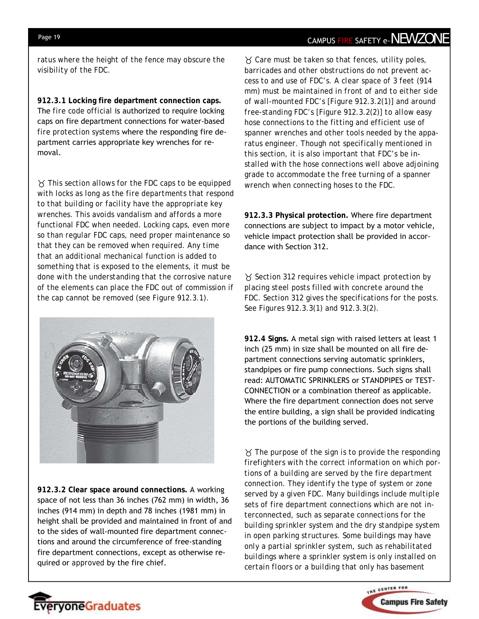### Page 19 **CAMPUS FIRE SAFETY e-NEWZONE**

*ratus where the height of the fence may obscure the visibility of the FDC.* 

**912.3.1 Locking fire department connection caps.**  The *fire code official* is authorized to require locking caps on fire department connections for water-based *fire protection systems* where the responding fire department carries appropriate key wrenches for removal.

 *This section allows for the FDC caps to be equipped with locks as long as the fire departments that respond to that building or facility have the appropriate key wrenches. This avoids vandalism and affords a more functional FDC when needed. Locking caps, even more so than regular FDC caps, need proper maintenance so that they can be removed when required. Any time that an additional mechanical function is added to something that is exposed to the elements, it must be done with the understanding that the corrosive nature of the elements can place the FDC out of commission if the cap cannot be removed (see Figure 912.3.1).* 



**912.3.2 Clear space around connections.** A working space of not less than 36 inches (762 mm) in width, 36 inches (914 mm) in depth and 78 inches (1981 mm) in height shall be provided and maintained in front of and to the sides of wall-mounted fire department connections and around the circumference of free-standing fire department connections, except as otherwise required or *approved* by the fire chief.

 *Care must be taken so that fences, utility poles, barricades and other obstructions do not prevent access to and use of FDC's. A clear space of 3 feet (914 mm) must be maintained in front of and to either side of wall-mounted FDC's [Figure 912.3.2(1)] and around free-standing FDC's [Figure 912.3.2(2)] to allow easy hose connections to the fitting and efficient use of spanner wrenches and other tools needed by the apparatus engineer. Though not specifically mentioned in this section, it is also important that FDC's be installed with the hose connections well above adjoining grade to accommodate the free turning of a spanner wrench when connecting hoses to the FDC.* 

**912.3.3 Physical protection.** Where fire department connections are subject to impact by a motor vehicle, vehicle impact protection shall be provided in accordance with Section 312.

 *Section 312 requires vehicle impact protection by placing steel posts filled with concrete around the FDC. Section 312 gives the specifications for the posts. See Figures 912.3.3(1) and 912.3.3(2).* 

**912.4 Signs.** A metal sign with raised letters at least 1 inch (25 mm) in size shall be mounted on all fire department connections serving automatic sprinklers, standpipes or fire pump connections. Such signs shall read: AUTOMATIC SPRINKLERS or STANDPIPES or TEST-CONNECTION or a combination thereof as applicable. Where the fire department connection does not serve the entire building, a sign shall be provided indicating the portions of the building served.

 *The purpose of the sign is to provide the responding firefighters with the correct information on which portions of a building are served by the fire department connection. They identify the type of system or zone served by a given FDC. Many buildings include multiple sets of fire department connections which are not interconnected, such as separate connections for the building sprinkler system and the dry standpipe system in open parking structures. Some buildings may have only a partial sprinkler system, such as rehabilitated buildings where a sprinkler system is only installed on certain floors or a building that only has basement*